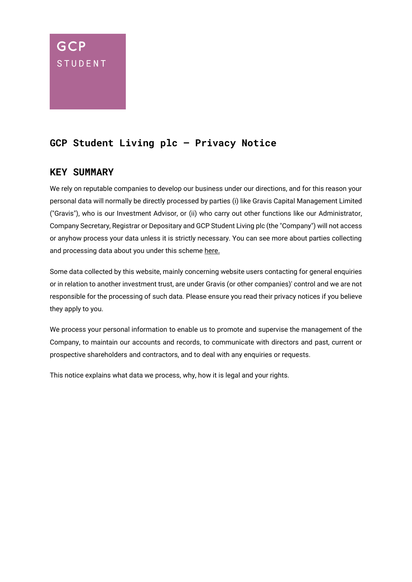# **GCP STUDENT**

# **GCP Student Living plc – Privacy Notice**

## **KEY SUMMARY**

We rely on reputable companies to develop our business under our directions, and for this reason your personal data will normally be directly processed by parties (i) like Gravis Capital Management Limited ("Gravis"), who is our Investment Advisor, or (ii) who carry out other functions like our Administrator, Company Secretary, Registrar or Depositary and GCP Student Living plc (the "Company") will not access or anyhow process your data unless it is strictly necessary. You can see more about parties collecting and processing data about you under this scheme here.

Some data collected by this website, mainly concerning website users contacting for general enquiries or in relation to another investment trust, are under Gravis (or other companies)' control and we are not responsible for the processing of such data. Please ensure you read their privacy notices if you believe they apply to you.

We process your personal information to enable us to promote and supervise the management of the Company, to maintain our accounts and records, to communicate with directors and past, current or prospective shareholders and contractors, and to deal with any enquiries or requests.

This notice explains what data we process, why, how it is legal and your rights.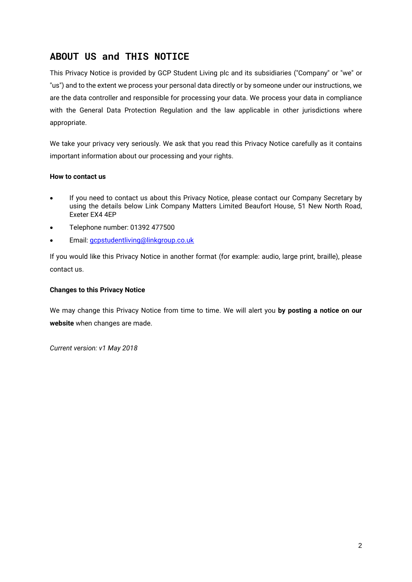## **ABOUT US and THIS NOTICE**

This Privacy Notice is provided by GCP Student Living plc and its subsidiaries ("Company" or "we" or "us") and to the extent we process your personal data directly or by someone under our instructions, we are the data controller and responsible for processing your data. We process your data in compliance with the General Data Protection Regulation and the law applicable in other jurisdictions where appropriate.

We take your privacy very seriously. We ask that you read this Privacy Notice carefully as it contains important information about our processing and your rights.

### **How to contact us**

- If you need to contact us about this Privacy Notice, please contact our Company Secretary by using the details below Link Company Matters Limited Beaufort House, 51 New North Road, Exeter EX4 4EP
- Telephone number: 01392 477500
- Email: [gcpstudentliving@linkgroup.co.uk](mailto:gcpstudentliving@linkgroup.co.uk)

If you would like this Privacy Notice in another format (for example: audio, large print, braille), please contact us.

#### **Changes to this Privacy Notice**

We may change this Privacy Notice from time to time. We will alert you **by posting a notice on our website** when changes are made.

*Current version: v1 May 2018*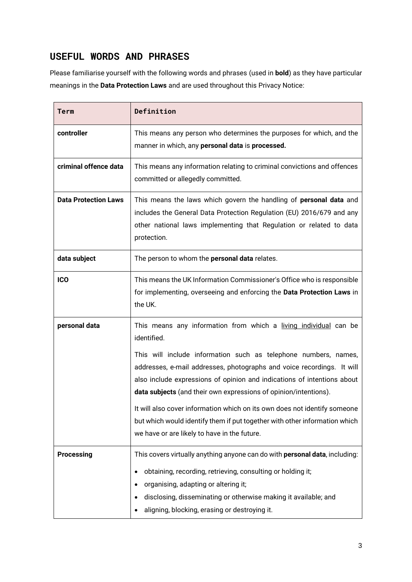## **USEFUL WORDS AND PHRASES**

Please familiarise yourself with the following words and phrases (used in **bold**) as they have particular meanings in the **Data Protection Laws** and are used throughout this Privacy Notice:

| <b>Term</b>                 | Definition                                                                                                                                                                                                                                                                                                                                                                                                                                                                                                                                                                             |  |  |
|-----------------------------|----------------------------------------------------------------------------------------------------------------------------------------------------------------------------------------------------------------------------------------------------------------------------------------------------------------------------------------------------------------------------------------------------------------------------------------------------------------------------------------------------------------------------------------------------------------------------------------|--|--|
| controller                  | This means any person who determines the purposes for which, and the<br>manner in which, any personal data is processed.                                                                                                                                                                                                                                                                                                                                                                                                                                                               |  |  |
| criminal offence data       | This means any information relating to criminal convictions and offences<br>committed or allegedly committed.                                                                                                                                                                                                                                                                                                                                                                                                                                                                          |  |  |
| <b>Data Protection Laws</b> | This means the laws which govern the handling of personal data and<br>includes the General Data Protection Regulation (EU) 2016/679 and any<br>other national laws implementing that Regulation or related to data<br>protection.                                                                                                                                                                                                                                                                                                                                                      |  |  |
| data subject                | The person to whom the personal data relates.                                                                                                                                                                                                                                                                                                                                                                                                                                                                                                                                          |  |  |
| <b>ICO</b>                  | This means the UK Information Commissioner's Office who is responsible<br>for implementing, overseeing and enforcing the Data Protection Laws in<br>the UK.                                                                                                                                                                                                                                                                                                                                                                                                                            |  |  |
| personal data               | This means any information from which a living individual can be<br>identified.<br>This will include information such as telephone numbers, names,<br>addresses, e-mail addresses, photographs and voice recordings. It will<br>also include expressions of opinion and indications of intentions about<br>data subjects (and their own expressions of opinion/intentions).<br>It will also cover information which on its own does not identify someone<br>but which would identify them if put together with other information which<br>we have or are likely to have in the future. |  |  |
| <b>Processing</b>           | This covers virtually anything anyone can do with personal data, including:<br>obtaining, recording, retrieving, consulting or holding it;<br>organising, adapting or altering it;<br>disclosing, disseminating or otherwise making it available; and<br>aligning, blocking, erasing or destroying it.                                                                                                                                                                                                                                                                                 |  |  |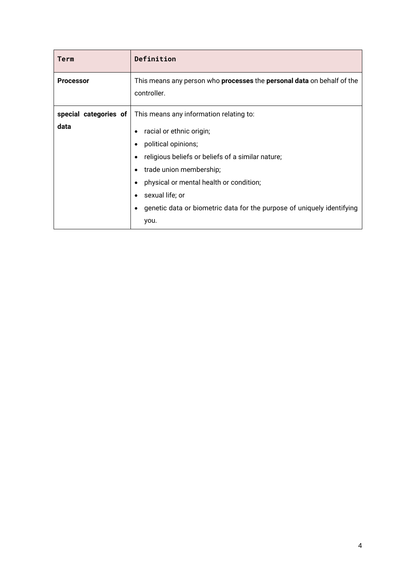| Term                          | Definition                                                                                                                                                                                                                                                                                                                   |
|-------------------------------|------------------------------------------------------------------------------------------------------------------------------------------------------------------------------------------------------------------------------------------------------------------------------------------------------------------------------|
| <b>Processor</b>              | This means any person who <b>processes</b> the <b>personal data</b> on behalf of the<br>controller.                                                                                                                                                                                                                          |
| special categories of<br>data | This means any information relating to:<br>racial or ethnic origin;<br>political opinions;<br>٠<br>religious beliefs or beliefs of a similar nature;<br>trade union membership;<br>physical or mental health or condition;<br>٠<br>sexual life; or<br>genetic data or biometric data for the purpose of uniquely identifying |
|                               | you.                                                                                                                                                                                                                                                                                                                         |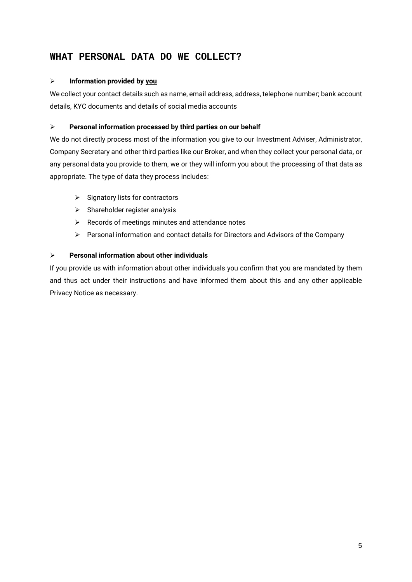## **WHAT PERSONAL DATA DO WE COLLECT?**

### ➢ **Information provided by you**

We collect your contact details such as name, email address, address, telephone number; bank account details, KYC documents and details of social media accounts

## ➢ **Personal information processed by third parties on our behalf**

We do not directly process most of the information you give to our Investment Adviser, Administrator, Company Secretary and other third parties like our Broker, and when they collect your personal data, or any personal data you provide to them, we or they will inform you about the processing of that data as appropriate. The type of data they process includes:

- ➢ Signatory lists for contractors
- $\triangleright$  Shareholder register analysis
- ➢ Records of meetings minutes and attendance notes
- ➢ Personal information and contact details for Directors and Advisors of the Company

## ➢ **Personal information about other individuals**

If you provide us with information about other individuals you confirm that you are mandated by them and thus act under their instructions and have informed them about this and any other applicable Privacy Notice as necessary.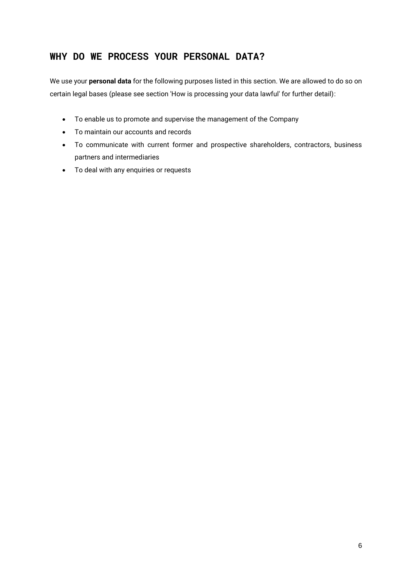## **WHY DO WE PROCESS YOUR PERSONAL DATA?**

We use your **personal data** for the following purposes listed in this section. We are allowed to do so on certain legal bases (please see section 'How is processing your data lawful' for further detail):

- To enable us to promote and supervise the management of the Company
- To maintain our accounts and records
- To communicate with current former and prospective shareholders, contractors, business partners and intermediaries
- To deal with any enquiries or requests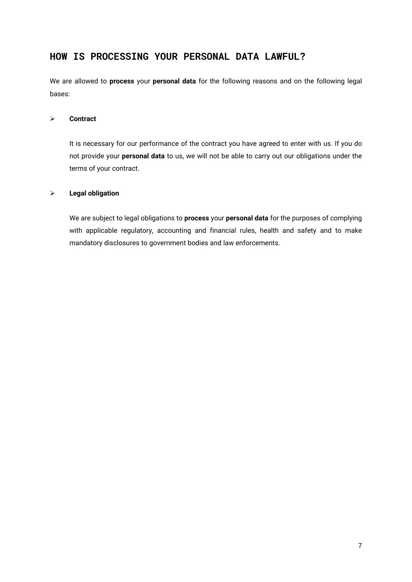## **HOW IS PROCESSING YOUR PERSONAL DATA LAWFUL?**

We are allowed to **process** your **personal data** for the following reasons and on the following legal bases:

#### ➢ **Contract**

It is necessary for our performance of the contract you have agreed to enter with us. If you do not provide your **personal data** to us, we will not be able to carry out our obligations under the terms of your contract.

### ➢ **Legal obligation**

We are subject to legal obligations to **process** your **personal data** for the purposes of complying with applicable regulatory, accounting and financial rules, health and safety and to make mandatory disclosures to government bodies and law enforcements.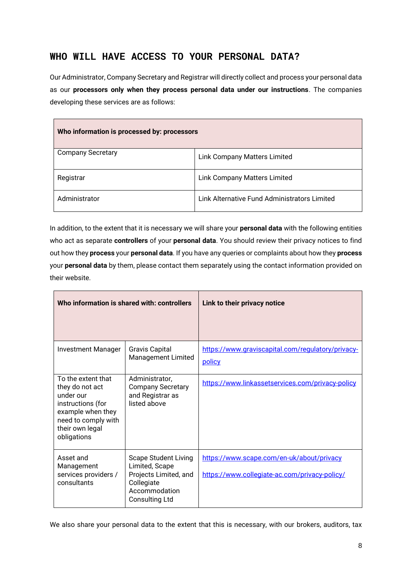## **WHO WILL HAVE ACCESS TO YOUR PERSONAL DATA?**

Our Administrator, Company Secretary and Registrar will directly collect and process your personal data as our **processors only when they process personal data under our instructions**. The companies developing these services are as follows:

| Who information is processed by: processors |                                              |  |
|---------------------------------------------|----------------------------------------------|--|
| <b>Company Secretary</b>                    | <b>Link Company Matters Limited</b>          |  |
| Registrar                                   | <b>Link Company Matters Limited</b>          |  |
| Administrator                               | Link Alternative Fund Administrators Limited |  |

In addition, to the extent that it is necessary we will share your **personal data** with the following entities who act as separate **controllers** of your **personal data**. You should review their privacy notices to find out how they **process** your **personal data**. If you have any queries or complaints about how they **process** your **personal data** by them, please contact them separately using the contact information provided on their website.

| Who information is shared with: controllers                                                                                                           |                                                                                                                                | Link to their privacy notice                                                               |
|-------------------------------------------------------------------------------------------------------------------------------------------------------|--------------------------------------------------------------------------------------------------------------------------------|--------------------------------------------------------------------------------------------|
| <b>Investment Manager</b>                                                                                                                             | <b>Gravis Capital</b><br><b>Management Limited</b>                                                                             | https://www.graviscapital.com/regulatory/privacy-<br>policy                                |
| To the extent that<br>they do not act<br>under our<br>instructions (for<br>example when they<br>need to comply with<br>their own legal<br>obligations | Administrator,<br><b>Company Secretary</b><br>and Registrar as<br>listed above                                                 | https://www.linkassetservices.com/privacy-policy                                           |
| Asset and<br>Management<br>services providers /<br>consultants                                                                                        | <b>Scape Student Living</b><br>Limited, Scape<br>Projects Limited, and<br>Collegiate<br>Accommodation<br><b>Consulting Ltd</b> | https://www.scape.com/en-uk/about/privacy<br>https://www.collegiate-ac.com/privacy-policy/ |

We also share your personal data to the extent that this is necessary, with our brokers, auditors, tax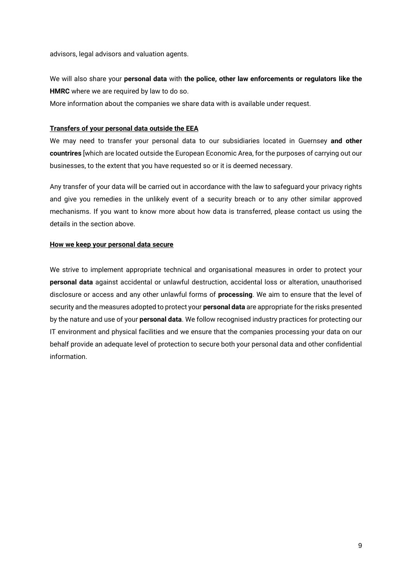advisors, legal advisors and valuation agents.

We will also share your **personal data** with **the police, other law enforcements or regulators like the HMRC** where we are required by law to do so.

More information about the companies we share data with is available under request.

#### **Transfers of your personal data outside the EEA**

We may need to transfer your personal data to our subsidiaries located in Guernsey **and other countrires** [which are located outside the European Economic Area, for the purposes of carrying out our businesses, to the extent that you have requested so or it is deemed necessary.

Any transfer of your data will be carried out in accordance with the law to safeguard your privacy rights and give you remedies in the unlikely event of a security breach or to any other similar approved mechanisms. If you want to know more about how data is transferred, please contact us using the details in the section above.

#### **How we keep your personal data secure**

We strive to implement appropriate technical and organisational measures in order to protect your **personal data** against accidental or unlawful destruction, accidental loss or alteration, unauthorised disclosure or access and any other unlawful forms of **processing**. We aim to ensure that the level of security and the measures adopted to protect your **personal data** are appropriate for the risks presented by the nature and use of your **personal data**. We follow recognised industry practices for protecting our IT environment and physical facilities and we ensure that the companies processing your data on our behalf provide an adequate level of protection to secure both your personal data and other confidential information.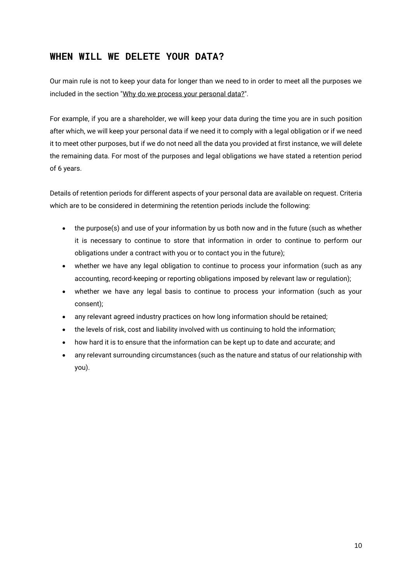## **WHEN WILL WE DELETE YOUR DATA?**

Our main rule is not to keep your data for longer than we need to in order to meet all the purposes we included in the section "Why do we process your personal data?".

For example, if you are a shareholder, we will keep your data during the time you are in such position after which, we will keep your personal data if we need it to comply with a legal obligation or if we need it to meet other purposes, but if we do not need all the data you provided at first instance, we will delete the remaining data. For most of the purposes and legal obligations we have stated a retention period of 6 years.

Details of retention periods for different aspects of your personal data are available on request. Criteria which are to be considered in determining the retention periods include the following:

- the purpose(s) and use of your information by us both now and in the future (such as whether it is necessary to continue to store that information in order to continue to perform our obligations under a contract with you or to contact you in the future);
- whether we have any legal obligation to continue to process your information (such as any accounting, record-keeping or reporting obligations imposed by relevant law or regulation);
- whether we have any legal basis to continue to process your information (such as your consent);
- any relevant agreed industry practices on how long information should be retained;
- the levels of risk, cost and liability involved with us continuing to hold the information;
- how hard it is to ensure that the information can be kept up to date and accurate; and
- any relevant surrounding circumstances (such as the nature and status of our relationship with you).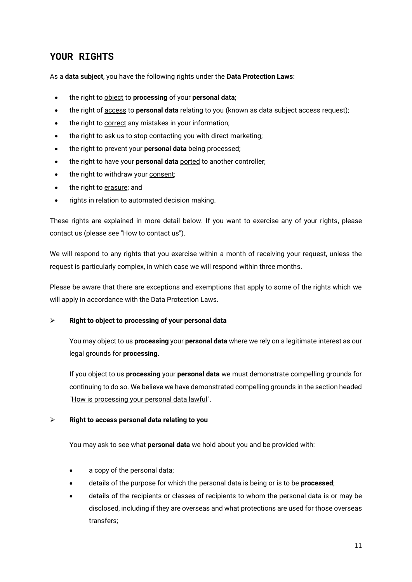## **YOUR RIGHTS**

As a **data subject**, you have the following rights under the **Data Protection Laws**:

- the right to object to **processing** of your **personal data**;
- the right of access to **personal data** relating to you (known as data subject access request);
- the right to correct any mistakes in your information;
- the right to ask us to stop contacting you with direct marketing;
- the right to prevent your **personal data** being processed;
- the right to have your **personal data** ported to another controller;
- the right to withdraw your consent;
- the right to erasure; and
- rights in relation to automated decision making.

These rights are explained in more detail below. If you want to exercise any of your rights, please contact us (please see "How to contact us").

We will respond to any rights that you exercise within a month of receiving your request, unless the request is particularly complex, in which case we will respond within three months.

Please be aware that there are exceptions and exemptions that apply to some of the rights which we will apply in accordance with the Data Protection Laws.

#### ➢ **Right to object to processing of your personal data**

You may object to us **processing** your **personal data** where we rely on a legitimate interest as our legal grounds for **processing**.

If you object to us **processing** your **personal data** we must demonstrate compelling grounds for continuing to do so. We believe we have demonstrated compelling grounds in the section headed "How is processing your personal data lawful".

#### ➢ **Right to access personal data relating to you**

You may ask to see what **personal data** we hold about you and be provided with:

- a copy of the personal data;
- details of the purpose for which the personal data is being or is to be **processed**;
- details of the recipients or classes of recipients to whom the personal data is or may be disclosed, including if they are overseas and what protections are used for those overseas transfers;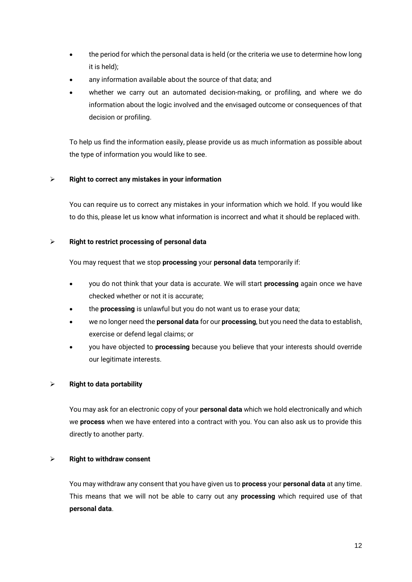- the period for which the personal data is held (or the criteria we use to determine how long it is held);
- any information available about the source of that data; and
- whether we carry out an automated decision-making, or profiling, and where we do information about the logic involved and the envisaged outcome or consequences of that decision or profiling.

To help us find the information easily, please provide us as much information as possible about the type of information you would like to see.

### ➢ **Right to correct any mistakes in your information**

You can require us to correct any mistakes in your information which we hold. If you would like to do this, please let us know what information is incorrect and what it should be replaced with.

### ➢ **Right to restrict processing of personal data**

You may request that we stop **processing** your **personal data** temporarily if:

- you do not think that your data is accurate. We will start **processing** again once we have checked whether or not it is accurate;
- the **processing** is unlawful but you do not want us to erase your data;
- we no longer need the **personal data** for our **processing**, but you need the data to establish, exercise or defend legal claims; or
- you have objected to **processing** because you believe that your interests should override our legitimate interests.

### ➢ **Right to data portability**

You may ask for an electronic copy of your **personal data** which we hold electronically and which we **process** when we have entered into a contract with you. You can also ask us to provide this directly to another party.

#### ➢ **Right to withdraw consent**

You may withdraw any consent that you have given us to **process** your **personal data** at any time. This means that we will not be able to carry out any **processing** which required use of that **personal data**.